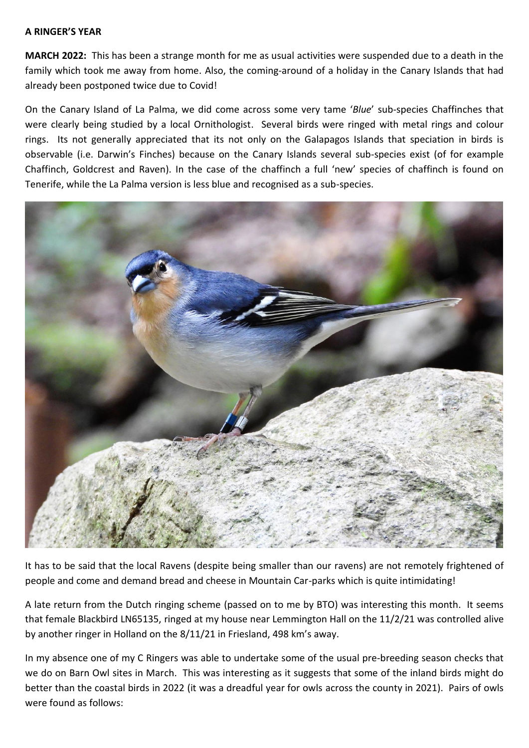## **A RINGER'S YEAR**

**MARCH 2022:** This has been a strange month for me as usual activities were suspended due to a death in the family which took me away from home. Also, the coming-around of a holiday in the Canary Islands that had already been postponed twice due to Covid!

On the Canary Island of La Palma, we did come across some very tame '*Blue*' sub-species Chaffinches that were clearly being studied by a local Ornithologist. Several birds were ringed with metal rings and colour rings. Its not generally appreciated that its not only on the Galapagos Islands that speciation in birds is observable (i.e. Darwin's Finches) because on the Canary Islands several sub-species exist (of for example Chaffinch, Goldcrest and Raven). In the case of the chaffinch a full 'new' species of chaffinch is found on Tenerife, while the La Palma version is less blue and recognised as a sub-species.



It has to be said that the local Ravens (despite being smaller than our ravens) are not remotely frightened of people and come and demand bread and cheese in Mountain Car-parks which is quite intimidating!

A late return from the Dutch ringing scheme (passed on to me by BTO) was interesting this month. It seems that female Blackbird LN65135, ringed at my house near Lemmington Hall on the 11/2/21 was controlled alive by another ringer in Holland on the 8/11/21 in Friesland, 498 km's away.

In my absence one of my C Ringers was able to undertake some of the usual pre-breeding season checks that we do on Barn Owl sites in March. This was interesting as it suggests that some of the inland birds might do better than the coastal birds in 2022 (it was a dreadful year for owls across the county in 2021). Pairs of owls were found as follows: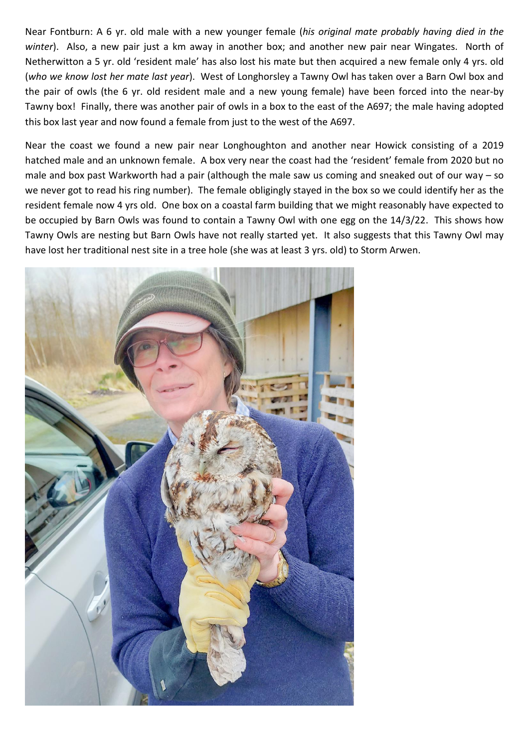Near Fontburn: A 6 yr. old male with a new younger female (*his original mate probably having died in the winter*). Also, a new pair just a km away in another box; and another new pair near Wingates. North of Netherwitton a 5 yr. old 'resident male' has also lost his mate but then acquired a new female only 4 yrs. old (*who we know lost her mate last year*). West of Longhorsley a Tawny Owl has taken over a Barn Owl box and the pair of owls (the 6 yr. old resident male and a new young female) have been forced into the near-by Tawny box! Finally, there was another pair of owls in a box to the east of the A697; the male having adopted this box last year and now found a female from just to the west of the A697.

Near the coast we found a new pair near Longhoughton and another near Howick consisting of a 2019 hatched male and an unknown female. A box very near the coast had the 'resident' female from 2020 but no male and box past Warkworth had a pair (although the male saw us coming and sneaked out of our way – so we never got to read his ring number). The female obligingly stayed in the box so we could identify her as the resident female now 4 yrs old. One box on a coastal farm building that we might reasonably have expected to be occupied by Barn Owls was found to contain a Tawny Owl with one egg on the 14/3/22. This shows how Tawny Owls are nesting but Barn Owls have not really started yet. It also suggests that this Tawny Owl may have lost her traditional nest site in a tree hole (she was at least 3 yrs. old) to Storm Arwen.